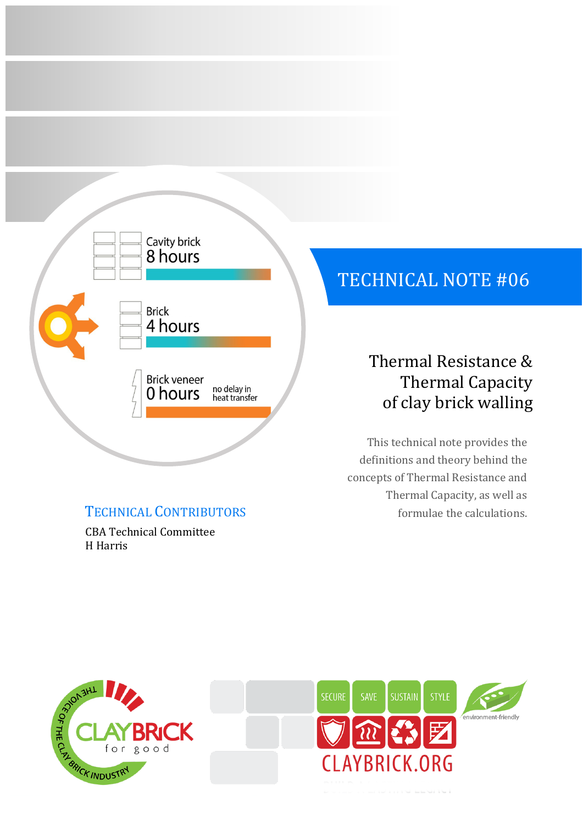

CBA Technical Committee H Harris

# TECHNICAL NOTE #06

# Thermal Resistance & Thermal Capacity of clay brick walling

This technical note provides the definitions and theory behind the concepts of Thermal Resistance and Thermal Capacity, as well as TECHNICAL CONTRIBUTORS formulae the calculations.



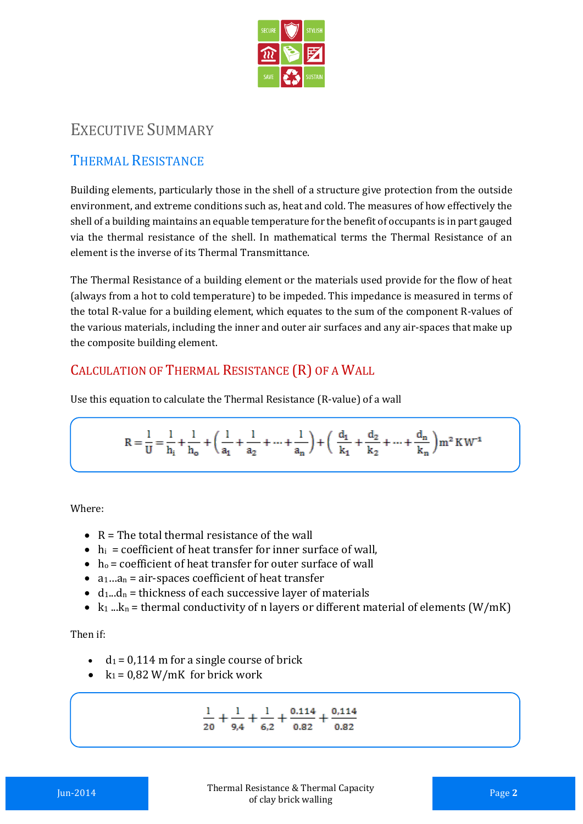

# EXECUTIVE SUMMARY

# THERMAL RESISTANCE

Building elements, particularly those in the shell of a structure give protection from the outside environment, and extreme conditions such as, heat and cold. The measures of how effectively the shell of a building maintains an equable temperature for the benefit of occupants is in part gauged via the thermal resistance of the shell. In mathematical terms the Thermal Resistance of an element is the inverse of its Thermal Transmittance.

The Thermal Resistance of a building element or the materials used provide for the flow of heat (always from a hot to cold temperature) to be impeded. This impedance is measured in terms of the total R-value for a building element, which equates to the sum of the component R-values of the various materials, including the inner and outer air surfaces and any air-spaces that make up the composite building element.

## CALCULATION OF THERMAL RESISTANCE (R) OF A WALL

Use this equation to calculate the Thermal Resistance (R-value) of a wall

$$
R=\frac{1}{U}=\frac{1}{h_i}+\frac{1}{h_o}+\bigg(\frac{1}{a_1}+\frac{1}{a_2}+\cdots+\frac{1}{a_n}\bigg)+\bigg(\begin{array}{c} \frac{d_1}{k_1}+\frac{d_2}{k_2}+\cdots+\frac{d_n}{k_n} \end{array}\bigg)m^2\,K\,W^{-1}
$$

Where:

- $\bullet$  R = The total thermal resistance of the wall
- $\bullet$  h<sub>i</sub> = coefficient of heat transfer for inner surface of wall,
- $h_0$  = coefficient of heat transfer for outer surface of wall
- $a_1...a_n$  = air-spaces coefficient of heat transfer
- $\bullet$  d<sub>1</sub>...d<sub>n</sub> = thickness of each successive layer of materials
- $k_1 ... k_n$  = thermal conductivity of n layers or different material of elements (W/mK)

Then if:

- $\cdot$  d<sub>1</sub> = 0,114 m for a single course of brick
- $k_1 = 0.82$  W/mK for brick work

$$
\frac{1}{20} + \frac{1}{9,4} + \frac{1}{6,2} + \frac{0.114}{0.82} + \frac{0.114}{0.82}
$$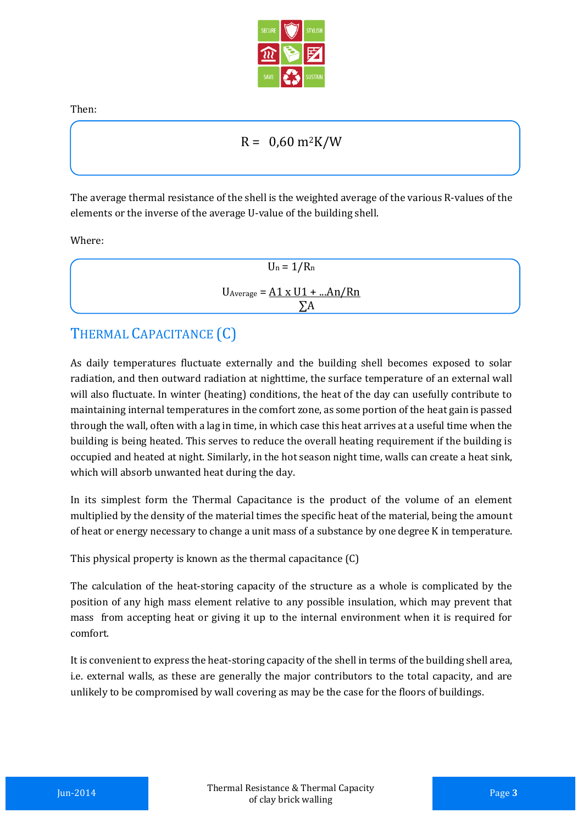

Then:

### $R = 0.60$  m<sup>2</sup>K/W

The average thermal resistance of the shell is the weighted average of the various R-values of the elements or the inverse of the average U-value of the building shell.

Where:

| $U_n = 1/R_n$                        |
|--------------------------------------|
| $U_{Average} = A1 \times U1 + An/Rn$ |
| $\sum A$                             |

# THERMAL CAPACITANCE (C)

As daily temperatures fluctuate externally and the building shell becomes exposed to solar radiation, and then outward radiation at nighttime, the surface temperature of an external wall will also fluctuate. In winter (heating) conditions, the heat of the day can usefully contribute to maintaining internal temperatures in the comfort zone, as some portion of the heat gain is passed through the wall, often with a lag in time, in which case this heat arrives at a useful time when the building is being heated. This serves to reduce the overall heating requirement if the building is occupied and heated at night. Similarly, in the hot season night time, walls can create a heat sink, which will absorb unwanted heat during the day.

In its simplest form the Thermal Capacitance is the product of the volume of an element multiplied by the density of the material times the specific heat of the material, being the amount of heat or energy necessary to change a unit mass of a substance by one degree K in temperature.

This physical property is known as the thermal capacitance (C)

The calculation of the heat-storing capacity of the structure as a whole is complicated by the position of any high mass element relative to any possible insulation, which may prevent that mass from accepting heat or giving it up to the internal environment when it is required for comfort.

It is convenient to express the heat-storing capacity of the shell in terms of the building shell area, i.e. external walls, as these are generally the major contributors to the total capacity, and are unlikely to be compromised by wall covering as may be the case for the floors of buildings.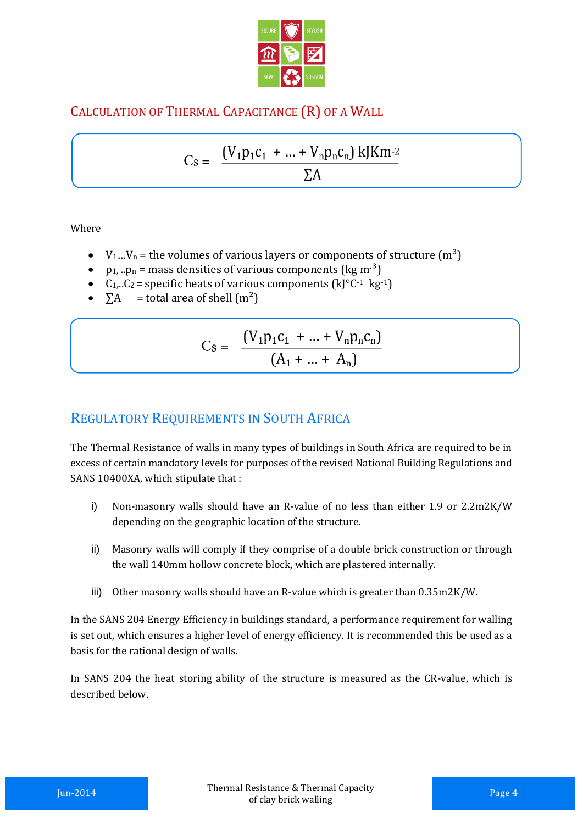

# CALCULATION OF THERMAL CAPACITANCE (R) OF A WALL

$$
Cs = \frac{(V_1p_1c_1 + ... + V_np_nc_n) \text{ kJK}m^{-2}}{\Sigma A}
$$

Where

- $V_1...V_n$  = the volumes of various layers or components of structure  $(m^3)$
- $p_1$ ,  $p_n$  = mass densities of various components (kg m<sup>-3</sup>)
- $C_1...C_2$  = specific heats of various components  $(k[^{\circ}C^{-1} \text{ kg}^{-1})$
- $\Sigma A$  = total area of shell  $(m^2)$

$$
Cs = \frac{(V_1 p_1 c_1 + ... + V_n p_n c_n)}{(A_1 + ... + A_n)}
$$

# REGULATORY REQUIREMENTS IN SOUTH AFRICA

The Thermal Resistance of walls in many types of buildings in South Africa are required to be in excess of certain mandatory levels for purposes of the revised National Building Regulations and SANS 10400XA, which stipulate that :

- i) Non-masonry walls should have an R-value of no less than either 1.9 or 2.2m2K/W depending on the geographic location of the structure.
- ii) Masonry walls will comply if they comprise of a double brick construction or through the wall 140mm hollow concrete block, which are plastered internally.
- iii) Other masonry walls should have an R-value which is greater than 0.35m2K/W.

In the SANS 204 Energy Efficiency in buildings standard, a performance requirement for walling is set out, which ensures a higher level of energy efficiency. It is recommended this be used as a basis for the rational design of walls.

In SANS 204 the heat storing ability of the structure is measured as the CR-value, which is described below.